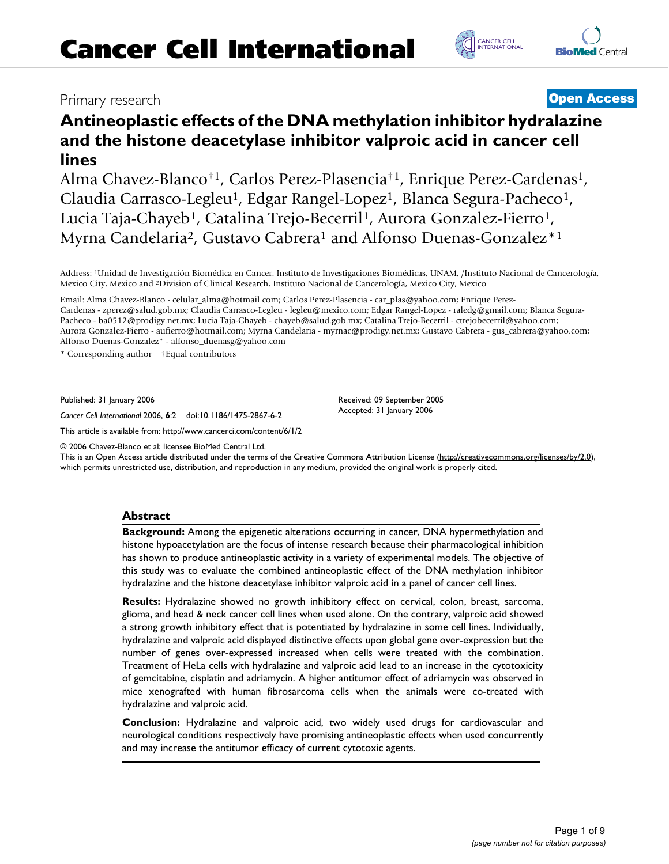# Primary research **[Open Access](http://www.biomedcentral.com/info/about/charter/)**

# **Antineoplastic effects of the DNA methylation inhibitor hydralazine and the histone deacetylase inhibitor valproic acid in cancer cell lines**

Alma Chavez-Blanco†1, Carlos Perez-Plasencia†1, Enrique Perez-Cardenas1, Claudia Carrasco-Legleu<sup>1</sup>, Edgar Rangel-Lopez<sup>1</sup>, Blanca Segura-Pacheco<sup>1</sup>, Lucia Taja-Chayeb<sup>1</sup>, Catalina Trejo-Becerril<sup>1</sup>, Aurora Gonzalez-Fierro<sup>1</sup>, Myrna Candelaria<sup>2</sup>, Gustavo Cabrera<sup>1</sup> and Alfonso Duenas-Gonzalez<sup>\*1</sup>

Address: 1Unidad de Investigación Biomédica en Cancer. Instituto de Investigaciones Biomédicas, UNAM, /Instituto Nacional de Cancerología, Mexico City, Mexico and 2Division of Clinical Research, Instituto Nacional de Cancerología, Mexico City, Mexico

Email: Alma Chavez-Blanco - celular\_alma@hotmail.com; Carlos Perez-Plasencia - car\_plas@yahoo.com; Enrique Perez-Cardenas - zperez@salud.gob.mx; Claudia Carrasco-Legleu - legleu@mexico.com; Edgar Rangel-Lopez - raledg@gmail.com; Blanca Segura-Pacheco - ba0512@prodigy.net.mx; Lucia Taja-Chayeb - chayeb@salud.gob.mx; Catalina Trejo-Becerril - ctrejobecerril@yahoo.com; Aurora Gonzalez-Fierro - aufierro@hotmail.com; Myrna Candelaria - myrnac@prodigy.net.mx; Gustavo Cabrera - gus\_cabrera@yahoo.com; Alfonso Duenas-Gonzalez\* - alfonso\_duenasg@yahoo.com

\* Corresponding author †Equal contributors

Published: 31 January 2006

*Cancer Cell International* 2006, **6**:2 doi:10.1186/1475-2867-6-2

[This article is available from: http://www.cancerci.com/content/6/1/2](http://www.cancerci.com/content/6/1/2)

© 2006 Chavez-Blanco et al; licensee BioMed Central Ltd.

This is an Open Access article distributed under the terms of the Creative Commons Attribution License [\(http://creativecommons.org/licenses/by/2.0\)](http://creativecommons.org/licenses/by/2.0), which permits unrestricted use, distribution, and reproduction in any medium, provided the original work is properly cited.

Received: 09 September 2005 Accepted: 31 January 2006

#### **Abstract**

**Background:** Among the epigenetic alterations occurring in cancer, DNA hypermethylation and histone hypoacetylation are the focus of intense research because their pharmacological inhibition has shown to produce antineoplastic activity in a variety of experimental models. The objective of this study was to evaluate the combined antineoplastic effect of the DNA methylation inhibitor hydralazine and the histone deacetylase inhibitor valproic acid in a panel of cancer cell lines.

**Results:** Hydralazine showed no growth inhibitory effect on cervical, colon, breast, sarcoma, glioma, and head & neck cancer cell lines when used alone. On the contrary, valproic acid showed a strong growth inhibitory effect that is potentiated by hydralazine in some cell lines. Individually, hydralazine and valproic acid displayed distinctive effects upon global gene over-expression but the number of genes over-expressed increased when cells were treated with the combination. Treatment of HeLa cells with hydralazine and valproic acid lead to an increase in the cytotoxicity of gemcitabine, cisplatin and adriamycin. A higher antitumor effect of adriamycin was observed in mice xenografted with human fibrosarcoma cells when the animals were co-treated with hydralazine and valproic acid.

**Conclusion:** Hydralazine and valproic acid, two widely used drugs for cardiovascular and neurological conditions respectively have promising antineoplastic effects when used concurrently and may increase the antitumor efficacy of current cytotoxic agents.



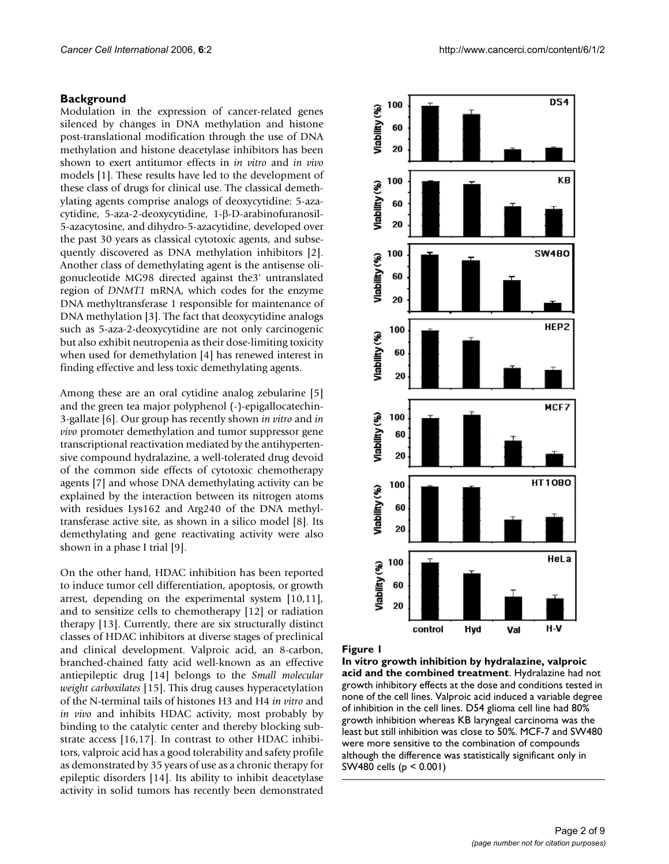#### **Background**

Modulation in the expression of cancer-related genes silenced by changes in DNA methylation and histone post-translational modification through the use of DNA methylation and histone deacetylase inhibitors has been shown to exert antitumor effects in *in vitro* and *in vivo* models [1]. These results have led to the development of these class of drugs for clinical use. The classical demethylating agents comprise analogs of deoxycytidine: 5-azacytidine, 5-aza-2-deoxycytidine, 1-β-D-arabinofuranosil-5-azacytosine, and dihydro-5-azacytidine, developed over the past 30 years as classical cytotoxic agents, and subsequently discovered as DNA methylation inhibitors [2]. Another class of demethylating agent is the antisense oligonucleotide MG98 directed against the3' untranslated region of *DNMT1* mRNA, which codes for the enzyme DNA methyltransferase 1 responsible for maintenance of DNA methylation [3]. The fact that deoxycytidine analogs such as 5-aza-2-deoxycytidine are not only carcinogenic but also exhibit neutropenia as their dose-limiting toxicity when used for demethylation [4] has renewed interest in finding effective and less toxic demethylating agents.

Among these are an oral cytidine analog zebularine [5] and the green tea major polyphenol (-)-epigallocatechin-3-gallate [6]. Our group has recently shown *in vitro* and *in vivo* promoter demethylation and tumor suppressor gene transcriptional reactivation mediated by the antihypertensive compound hydralazine, a well-tolerated drug devoid of the common side effects of cytotoxic chemotherapy agents [7] and whose DNA demethylating activity can be explained by the interaction between its nitrogen atoms with residues Lys162 and Arg240 of the DNA methyltransferase active site, as shown in a silico model [8]. Its demethylating and gene reactivating activity were also shown in a phase I trial [9].

On the other hand, HDAC inhibition has been reported to induce tumor cell differentiation, apoptosis, or growth arrest, depending on the experimental system [10,11], and to sensitize cells to chemotherapy [12] or radiation therapy [13]. Currently, there are six structurally distinct classes of HDAC inhibitors at diverse stages of preclinical and clinical development. Valproic acid, an 8-carbon, branched-chained fatty acid well-known as an effective antiepileptic drug [14] belongs to the *Small molecular weight carboxilates* [15]. This drug causes hyperacetylation of the N-terminal tails of histones H3 and H4 *in vitro* and *in vivo* and inhibits HDAC activity, most probably by binding to the catalytic center and thereby blocking substrate access [16,17]. In contrast to other HDAC inhibitors, valproic acid has a good tolerability and safety profile as demonstrated by 35 years of use as a chronic therapy for epileptic disorders [14]. Its ability to inhibit deacetylase activity in solid tumors has recently been demonstrated



#### Figure 1

**In vitro growth inhibition by hydralazine, valproic acid and the combined treatment**. Hydralazine had not growth inhibitory effects at the dose and conditions tested in none of the cell lines. Valproic acid induced a variable degree of inhibition in the cell lines. D54 glioma cell line had 80% growth inhibition whereas KB laryngeal carcinoma was the least but still inhibition was close to 50%. MCF-7 and SW480 were more sensitive to the combination of compounds although the difference was statistically significant only in SW480 cells (p < 0.001)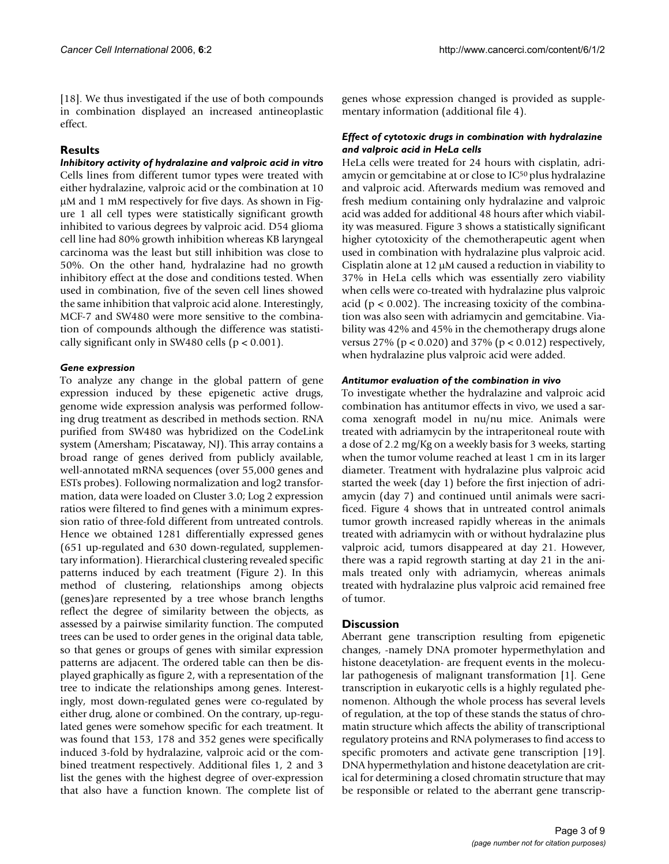[18]. We thus investigated if the use of both compounds in combination displayed an increased antineoplastic effect.

# **Results**

*Inhibitory activity of hydralazine and valproic acid in vitro* Cells lines from different tumor types were treated with either hydralazine, valproic acid or the combination at 10 µM and 1 mM respectively for five days. As shown in Figure 1 all cell types were statistically significant growth inhibited to various degrees by valproic acid. D54 glioma cell line had 80% growth inhibition whereas KB laryngeal carcinoma was the least but still inhibition was close to 50%. On the other hand, hydralazine had no growth inhibitory effect at the dose and conditions tested. When used in combination, five of the seven cell lines showed the same inhibition that valproic acid alone. Interestingly, MCF-7 and SW480 were more sensitive to the combination of compounds although the difference was statistically significant only in SW480 cells ( $p < 0.001$ ).

# *Gene expression*

To analyze any change in the global pattern of gene expression induced by these epigenetic active drugs, genome wide expression analysis was performed following drug treatment as described in methods section. RNA purified from SW480 was hybridized on the CodeLink system (Amersham; Piscataway, NJ). This array contains a broad range of genes derived from publicly available, well-annotated mRNA sequences (over 55,000 genes and ESTs probes). Following normalization and log2 transformation, data were loaded on Cluster 3.0; Log 2 expression ratios were filtered to find genes with a minimum expression ratio of three-fold different from untreated controls. Hence we obtained 1281 differentially expressed genes (651 up-regulated and 630 down-regulated, supplementary information). Hierarchical clustering revealed specific patterns induced by each treatment (Figure 2). In this method of clustering, relationships among objects (genes)are represented by a tree whose branch lengths reflect the degree of similarity between the objects, as assessed by a pairwise similarity function. The computed trees can be used to order genes in the original data table, so that genes or groups of genes with similar expression patterns are adjacent. The ordered table can then be displayed graphically as figure 2, with a representation of the tree to indicate the relationships among genes. Interestingly, most down-regulated genes were co-regulated by either drug, alone or combined. On the contrary, up-regulated genes were somehow specific for each treatment. It was found that 153, 178 and 352 genes were specifically induced 3-fold by hydralazine, valproic acid or the combined treatment respectively. Additional files 1, 2 and 3 list the genes with the highest degree of over-expression that also have a function known. The complete list of genes whose expression changed is provided as supplementary information (additional file 4).

# *Effect of cytotoxic drugs in combination with hydralazine and valproic acid in HeLa cells*

HeLa cells were treated for 24 hours with cisplatin, adriamycin or gemcitabine at or close to IC50 plus hydralazine and valproic acid. Afterwards medium was removed and fresh medium containing only hydralazine and valproic acid was added for additional 48 hours after which viability was measured. Figure 3 shows a statistically significant higher cytotoxicity of the chemotherapeutic agent when used in combination with hydralazine plus valproic acid. Cisplatin alone at 12 µM caused a reduction in viability to 37% in HeLa cells which was essentially zero viability when cells were co-treated with hydralazine plus valproic acid ( $p < 0.002$ ). The increasing toxicity of the combination was also seen with adriamycin and gemcitabine. Viability was 42% and 45% in the chemotherapy drugs alone versus 27% (p < 0.020) and 37% (p < 0.012) respectively, when hydralazine plus valproic acid were added.

# *Antitumor evaluation of the combination in vivo*

To investigate whether the hydralazine and valproic acid combination has antitumor effects in vivo, we used a sarcoma xenograft model in nu/nu mice. Animals were treated with adriamycin by the intraperitoneal route with a dose of 2.2 mg/Kg on a weekly basis for 3 weeks, starting when the tumor volume reached at least 1 cm in its larger diameter. Treatment with hydralazine plus valproic acid started the week (day 1) before the first injection of adriamycin (day 7) and continued until animals were sacrificed. Figure 4 shows that in untreated control animals tumor growth increased rapidly whereas in the animals treated with adriamycin with or without hydralazine plus valproic acid, tumors disappeared at day 21. However, there was a rapid regrowth starting at day 21 in the animals treated only with adriamycin, whereas animals treated with hydralazine plus valproic acid remained free of tumor.

# **Discussion**

Aberrant gene transcription resulting from epigenetic changes, -namely DNA promoter hypermethylation and histone deacetylation- are frequent events in the molecular pathogenesis of malignant transformation [1]. Gene transcription in eukaryotic cells is a highly regulated phenomenon. Although the whole process has several levels of regulation, at the top of these stands the status of chromatin structure which affects the ability of transcriptional regulatory proteins and RNA polymerases to find access to specific promoters and activate gene transcription [19]. DNA hypermethylation and histone deacetylation are critical for determining a closed chromatin structure that may be responsible or related to the aberrant gene transcrip-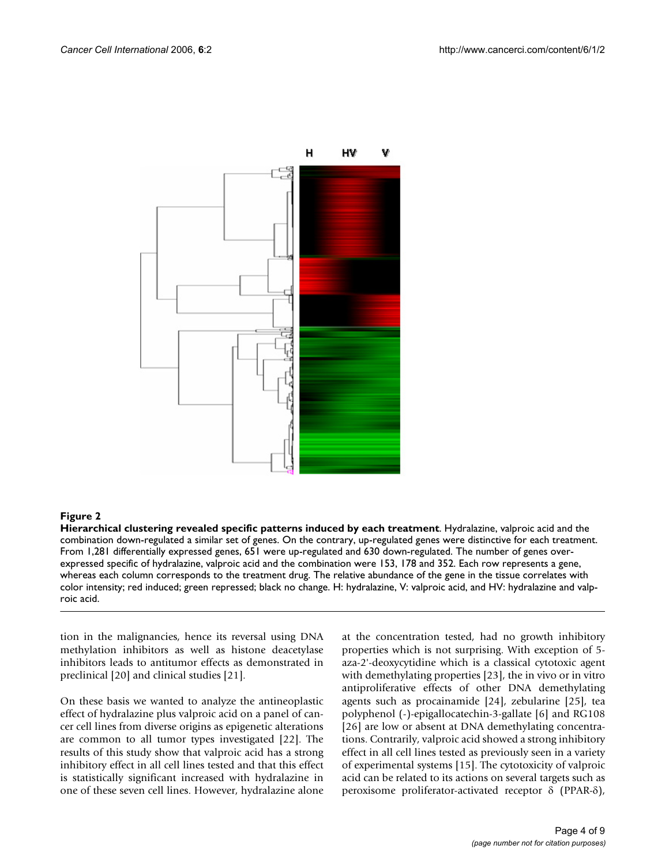

#### Figure 2

**Hierarchical clustering revealed specific patterns induced by each treatment**. Hydralazine, valproic acid and the combination down-regulated a similar set of genes. On the contrary, up-regulated genes were distinctive for each treatment. From 1,281 differentially expressed genes, 651 were up-regulated and 630 down-regulated. The number of genes overexpressed specific of hydralazine, valproic acid and the combination were 153, 178 and 352. Each row represents a gene, whereas each column corresponds to the treatment drug. The relative abundance of the gene in the tissue correlates with color intensity; red induced; green repressed; black no change. H: hydralazine, V: valproic acid, and HV: hydralazine and valproic acid.

tion in the malignancies, hence its reversal using DNA methylation inhibitors as well as histone deacetylase inhibitors leads to antitumor effects as demonstrated in preclinical [20] and clinical studies [21].

On these basis we wanted to analyze the antineoplastic effect of hydralazine plus valproic acid on a panel of cancer cell lines from diverse origins as epigenetic alterations are common to all tumor types investigated [22]. The results of this study show that valproic acid has a strong inhibitory effect in all cell lines tested and that this effect is statistically significant increased with hydralazine in one of these seven cell lines. However, hydralazine alone at the concentration tested, had no growth inhibitory properties which is not surprising. With exception of 5 aza-2'-deoxycytidine which is a classical cytotoxic agent with demethylating properties [23], the in vivo or in vitro antiproliferative effects of other DNA demethylating agents such as procainamide [24], zebularine [25], tea polyphenol (-)-epigallocatechin-3-gallate [6] and RG108 [26] are low or absent at DNA demethylating concentrations. Contrarily, valproic acid showed a strong inhibitory effect in all cell lines tested as previously seen in a variety of experimental systems [15]. The cytotoxicity of valproic acid can be related to its actions on several targets such as peroxisome proliferator-activated receptor δ (PPAR-δ),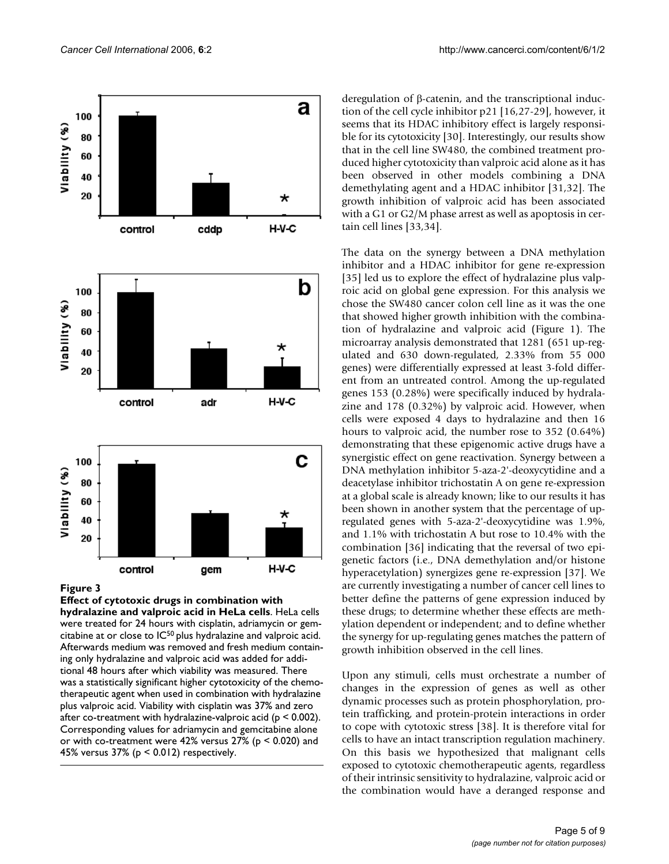

#### **Figure 3**

**Effect of cytotoxic drugs in combination with hydralazine and valproic acid in HeLa cells**. HeLa cells were treated for 24 hours with cisplatin, adriamycin or gemcitabine at or close to IC50 plus hydralazine and valproic acid. Afterwards medium was removed and fresh medium containing only hydralazine and valproic acid was added for additional 48 hours after which viability was measured. There was a statistically significant higher cytotoxicity of the chemotherapeutic agent when used in combination with hydralazine plus valproic acid. Viability with cisplatin was 37% and zero after co-treatment with hydralazine-valproic acid (p < 0.002). Corresponding values for adriamycin and gemcitabine alone or with co-treatment were 42% versus 27% (p < 0.020) and 45% versus 37% ( $p < 0.012$ ) respectively.

deregulation of β-catenin, and the transcriptional induction of the cell cycle inhibitor p21 [16,27-29], however, it seems that its HDAC inhibitory effect is largely responsible for its cytotoxicity [30]. Interestingly, our results show that in the cell line SW480, the combined treatment produced higher cytotoxicity than valproic acid alone as it has been observed in other models combining a DNA demethylating agent and a HDAC inhibitor [31,32]. The growth inhibition of valproic acid has been associated with a G1 or G2/M phase arrest as well as apoptosis in certain cell lines [33,34].

The data on the synergy between a DNA methylation inhibitor and a HDAC inhibitor for gene re-expression [35] led us to explore the effect of hydralazine plus valproic acid on global gene expression. For this analysis we chose the SW480 cancer colon cell line as it was the one that showed higher growth inhibition with the combination of hydralazine and valproic acid (Figure 1). The microarray analysis demonstrated that 1281 (651 up-regulated and 630 down-regulated, 2.33% from 55 000 genes) were differentially expressed at least 3-fold different from an untreated control. Among the up-regulated genes 153 (0.28%) were specifically induced by hydralazine and 178 (0.32%) by valproic acid. However, when cells were exposed 4 days to hydralazine and then 16 hours to valproic acid, the number rose to 352 (0.64%) demonstrating that these epigenomic active drugs have a synergistic effect on gene reactivation. Synergy between a DNA methylation inhibitor 5-aza-2'-deoxycytidine and a deacetylase inhibitor trichostatin A on gene re-expression at a global scale is already known; like to our results it has been shown in another system that the percentage of upregulated genes with 5-aza-2'-deoxycytidine was 1.9%, and 1.1% with trichostatin A but rose to 10.4% with the combination [36] indicating that the reversal of two epigenetic factors (i.e., DNA demethylation and/or histone hyperacetylation) synergizes gene re-expression [37]. We are currently investigating a number of cancer cell lines to better define the patterns of gene expression induced by these drugs; to determine whether these effects are methylation dependent or independent; and to define whether the synergy for up-regulating genes matches the pattern of growth inhibition observed in the cell lines.

Upon any stimuli, cells must orchestrate a number of changes in the expression of genes as well as other dynamic processes such as protein phosphorylation, protein trafficking, and protein-protein interactions in order to cope with cytotoxic stress [38]. It is therefore vital for cells to have an intact transcription regulation machinery. On this basis we hypothesized that malignant cells exposed to cytotoxic chemotherapeutic agents, regardless of their intrinsic sensitivity to hydralazine, valproic acid or the combination would have a deranged response and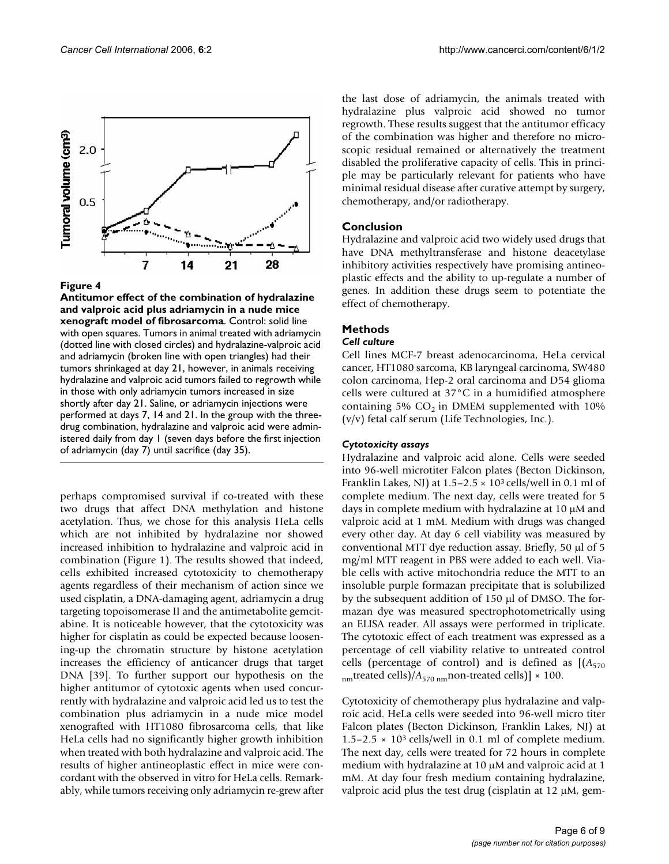

#### Figure 4

**Antitumor effect of the combination of hydralazine and valproic acid plus adriamycin in a nude mice xenograft model of fibrosarcoma**. Control: solid line with open squares. Tumors in animal treated with adriamycin (dotted line with closed circles) and hydralazine-valproic acid and adriamycin (broken line with open triangles) had their tumors shrinkaged at day 21, however, in animals receiving hydralazine and valproic acid tumors failed to regrowth while in those with only adriamycin tumors increased in size shortly after day 21. Saline, or adriamycin injections were performed at days 7, 14 and 21. In the group with the threedrug combination, hydralazine and valproic acid were administered daily from day 1 (seven days before the first injection of adriamycin (day 7) until sacrifice (day 35).

perhaps compromised survival if co-treated with these two drugs that affect DNA methylation and histone acetylation. Thus, we chose for this analysis HeLa cells which are not inhibited by hydralazine nor showed increased inhibition to hydralazine and valproic acid in combination (Figure 1). The results showed that indeed, cells exhibited increased cytotoxicity to chemotherapy agents regardless of their mechanism of action since we used cisplatin, a DNA-damaging agent, adriamycin a drug targeting topoisomerase II and the antimetabolite gemcitabine. It is noticeable however, that the cytotoxicity was higher for cisplatin as could be expected because loosening-up the chromatin structure by histone acetylation increases the efficiency of anticancer drugs that target DNA [39]. To further support our hypothesis on the higher antitumor of cytotoxic agents when used concurrently with hydralazine and valproic acid led us to test the combination plus adriamycin in a nude mice model xenografted with HT1080 fibrosarcoma cells, that like HeLa cells had no significantly higher growth inhibition when treated with both hydralazine and valproic acid. The results of higher antineoplastic effect in mice were concordant with the observed in vitro for HeLa cells. Remarkably, while tumors receiving only adriamycin re-grew after the last dose of adriamycin, the animals treated with hydralazine plus valproic acid showed no tumor regrowth. These results suggest that the antitumor efficacy of the combination was higher and therefore no microscopic residual remained or alternatively the treatment disabled the proliferative capacity of cells. This in principle may be particularly relevant for patients who have minimal residual disease after curative attempt by surgery, chemotherapy, and/or radiotherapy.

# **Conclusion**

Hydralazine and valproic acid two widely used drugs that have DNA methyltransferase and histone deacetylase inhibitory activities respectively have promising antineoplastic effects and the ability to up-regulate a number of genes. In addition these drugs seem to potentiate the effect of chemotherapy.

# **Methods**

#### *Cell culture*

Cell lines MCF-7 breast adenocarcinoma, HeLa cervical cancer, HT1080 sarcoma, KB laryngeal carcinoma, SW480 colon carcinoma, Hep-2 oral carcinoma and D54 glioma cells were cultured at 37°C in a humidified atmosphere containing 5%  $CO<sub>2</sub>$  in DMEM supplemented with 10% (v/v) fetal calf serum (Life Technologies, Inc.).

# *Cytotoxicity assays*

Hydralazine and valproic acid alone. Cells were seeded into 96-well microtiter Falcon plates (Becton Dickinson, Franklin Lakes, NJ) at  $1.5-2.5 \times 10^3$  cells/well in 0.1 ml of complete medium. The next day, cells were treated for 5 days in complete medium with hydralazine at 10 µM and valproic acid at 1 mM. Medium with drugs was changed every other day. At day 6 cell viability was measured by conventional MTT dye reduction assay. Briefly, 50 µl of 5 mg/ml MTT reagent in PBS were added to each well. Viable cells with active mitochondria reduce the MTT to an insoluble purple formazan precipitate that is solubilized by the subsequent addition of 150 µl of DMSO. The formazan dye was measured spectrophotometrically using an ELISA reader. All assays were performed in triplicate. The cytotoxic effect of each treatment was expressed as a percentage of cell viability relative to untreated control cells (percentage of control) and is defined as  $[(A<sub>570</sub>$ <sub>nm</sub>treated cells)/ $A_{570 \text{ nm}}$ non-treated cells)] × 100.

Cytotoxicity of chemotherapy plus hydralazine and valproic acid. HeLa cells were seeded into 96-well micro titer Falcon plates (Becton Dickinson, Franklin Lakes, NJ) at  $1.5-2.5 \times 10^3$  cells/well in 0.1 ml of complete medium. The next day, cells were treated for 72 hours in complete medium with hydralazine at 10 µM and valproic acid at 1 mM. At day four fresh medium containing hydralazine, valproic acid plus the test drug (cisplatin at 12 µM, gem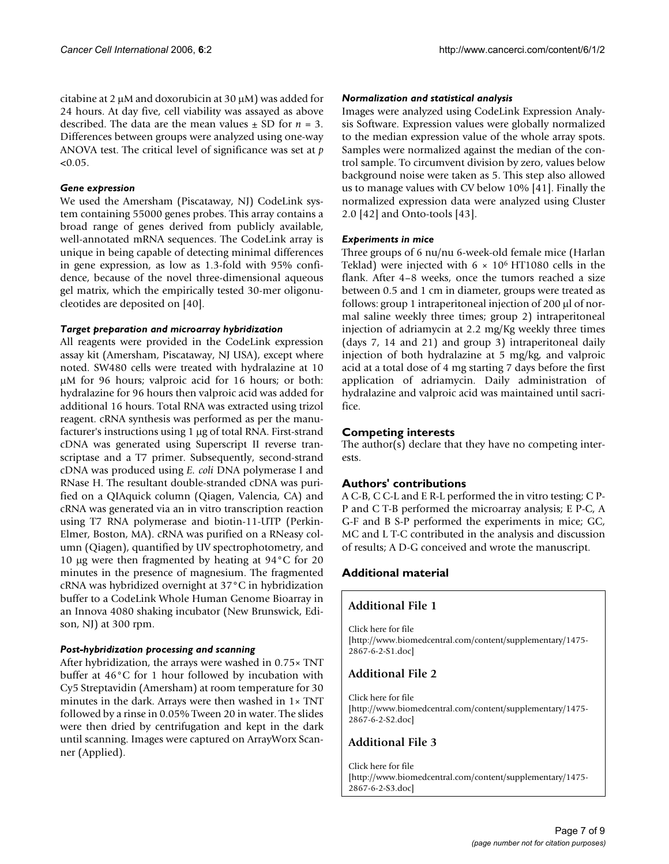citabine at 2  $\mu$ M and doxorubicin at 30  $\mu$ M) was added for 24 hours. At day five, cell viability was assayed as above described. The data are the mean values  $\pm$  SD for  $n = 3$ . Differences between groups were analyzed using one-way ANOVA test. The critical level of significance was set at *p*  $< 0.05$ .

#### *Gene expression*

We used the Amersham (Piscataway, NJ) CodeLink system containing 55000 genes probes. This array contains a broad range of genes derived from publicly available, well-annotated mRNA sequences. The CodeLink array is unique in being capable of detecting minimal differences in gene expression, as low as 1.3-fold with 95% confidence, because of the novel three-dimensional aqueous gel matrix, which the empirically tested 30-mer oligonucleotides are deposited on [40].

#### *Target preparation and microarray hybridization*

All reagents were provided in the CodeLink expression assay kit (Amersham, Piscataway, NJ USA), except where noted. SW480 cells were treated with hydralazine at 10 µM for 96 hours; valproic acid for 16 hours; or both: hydralazine for 96 hours then valproic acid was added for additional 16 hours. Total RNA was extracted using trizol reagent. cRNA synthesis was performed as per the manufacturer's instructions using 1 µg of total RNA. First-strand cDNA was generated using Superscript II reverse transcriptase and a T7 primer. Subsequently, second-strand cDNA was produced using *E. coli* DNA polymerase I and RNase H. The resultant double-stranded cDNA was purified on a QIAquick column (Qiagen, Valencia, CA) and cRNA was generated via an in vitro transcription reaction using T7 RNA polymerase and biotin-11-UTP (Perkin-Elmer, Boston, MA). cRNA was purified on a RNeasy column (Qiagen), quantified by UV spectrophotometry, and 10 µg were then fragmented by heating at 94°C for 20 minutes in the presence of magnesium. The fragmented cRNA was hybridized overnight at 37°C in hybridization buffer to a CodeLink Whole Human Genome Bioarray in an Innova 4080 shaking incubator (New Brunswick, Edison, NJ) at 300 rpm.

# *Post-hybridization processing and scanning*

After hybridization, the arrays were washed in 0.75× TNT buffer at 46°C for 1 hour followed by incubation with Cy5 Streptavidin (Amersham) at room temperature for 30 minutes in the dark. Arrays were then washed in 1× TNT followed by a rinse in 0.05% Tween 20 in water. The slides were then dried by centrifugation and kept in the dark until scanning. Images were captured on ArrayWorx Scanner (Applied).

#### *Normalization and statistical analysis*

Images were analyzed using CodeLink Expression Analysis Software. Expression values were globally normalized to the median expression value of the whole array spots. Samples were normalized against the median of the control sample. To circumvent division by zero, values below background noise were taken as 5. This step also allowed us to manage values with CV below 10% [41]. Finally the normalized expression data were analyzed using Cluster 2.0 [42] and Onto-tools [43].

#### *Experiments in mice*

Three groups of 6 nu/nu 6-week-old female mice (Harlan Teklad) were injected with  $6 \times 10^6$  HT1080 cells in the flank. After 4–8 weeks, once the tumors reached a size between 0.5 and 1 cm in diameter, groups were treated as follows: group 1 intraperitoneal injection of 200 µl of normal saline weekly three times; group 2) intraperitoneal injection of adriamycin at 2.2 mg/Kg weekly three times (days 7, 14 and 21) and group 3) intraperitoneal daily injection of both hydralazine at 5 mg/kg, and valproic acid at a total dose of 4 mg starting 7 days before the first application of adriamycin. Daily administration of hydralazine and valproic acid was maintained until sacrifice.

# **Competing interests**

The author(s) declare that they have no competing interests.

# **Authors' contributions**

A C-B, C C-L and E R-L performed the in vitro testing; C P-P and C T-B performed the microarray analysis; E P-C, A G-F and B S-P performed the experiments in mice; GC, MC and L T-C contributed in the analysis and discussion of results; A D-G conceived and wrote the manuscript.

# **Additional material**

# **Additional File 1**

Click here for file [\[http://www.biomedcentral.com/content/supplementary/1475-](http://www.biomedcentral.com/content/supplementary/1475-2867-6-2-S1.doc) 2867-6-2-S1.doc]

# **Additional File 2**

Click here for file [\[http://www.biomedcentral.com/content/supplementary/1475-](http://www.biomedcentral.com/content/supplementary/1475-2867-6-2-S2.doc) 2867-6-2-S2.doc]

# **Additional File 3**

Click here for file [\[http://www.biomedcentral.com/content/supplementary/1475-](http://www.biomedcentral.com/content/supplementary/1475-2867-6-2-S3.doc) 2867-6-2-S3.doc]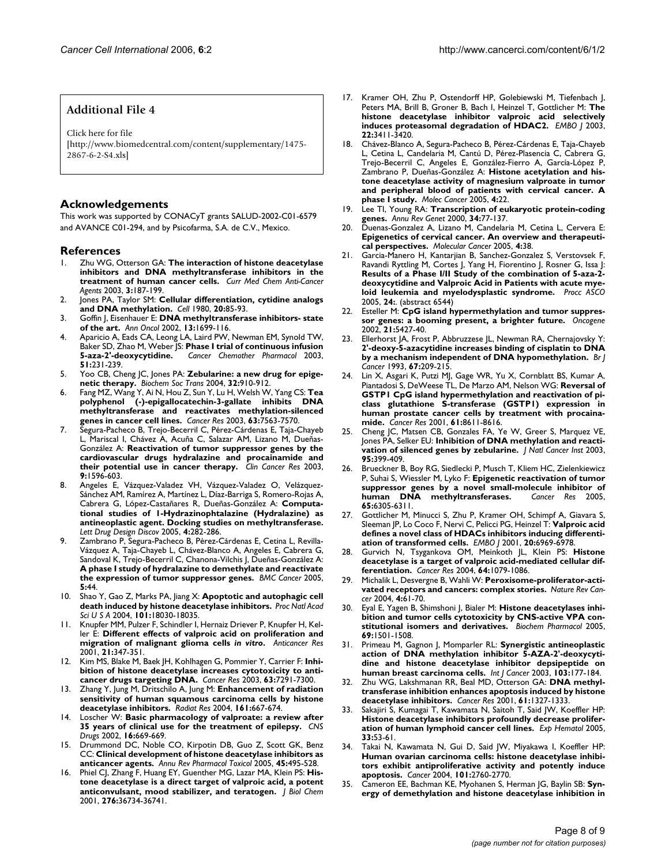#### **Additional File 4**

Click here for file [\[http://www.biomedcentral.com/content/supplementary/1475-](http://www.biomedcentral.com/content/supplementary/1475-2867-6-2-S4.xls) 2867-6-2-S4.xls]

#### **Acknowledgements**

This work was supported by CONACyT grants SALUD-2002-C01-6579 and AVANCE C01-294, and by Psicofarma, S.A. de C.V., Mexico.

#### **References**

- 1. Zhu WG, Otterson GA: **The interaction of histone deacetylase inhibitors and DNA methyltransferase inhibitors in the treatment of human cancer cells.** *Curr Med Chem Anti-Cancer Agents* 2003, **3:**187-199.
- 2. Jones PA, Taylor SM: **[Cellular differentiation, cytidine analogs](http://www.ncbi.nlm.nih.gov/entrez/query.fcgi?cmd=Retrieve&db=PubMed&dopt=Abstract&list_uids=6156004) [and DNA methylation.](http://www.ncbi.nlm.nih.gov/entrez/query.fcgi?cmd=Retrieve&db=PubMed&dopt=Abstract&list_uids=6156004)** *Cell* 1980, **20:**85-93.
- 3. Goffin J, Eisenhauer E: **[DNA methyltransferase inhibitors- state](http://www.ncbi.nlm.nih.gov/entrez/query.fcgi?cmd=Retrieve&db=PubMed&dopt=Abstract&list_uids=12419742) [of the art.](http://www.ncbi.nlm.nih.gov/entrez/query.fcgi?cmd=Retrieve&db=PubMed&dopt=Abstract&list_uids=12419742)** *Ann Oncol* 2002, **13:**1699-116.
- 4. Aparicio A, Eads CA, Leong LA, Laird PW, Newman EM, Synold TW, Baker SD, Zhao M, Weber JS: **[Phase I trial of continuous infusion](http://www.ncbi.nlm.nih.gov/entrez/query.fcgi?cmd=Retrieve&db=PubMed&dopt=Abstract&list_uids=12655442) [5-aza-2'-deoxycytidine.](http://www.ncbi.nlm.nih.gov/entrez/query.fcgi?cmd=Retrieve&db=PubMed&dopt=Abstract&list_uids=12655442)** *Cancer Chemother Pharmacol* 2003, **51:**231-239.
- 5. Yoo CB, Cheng JC, Jones PA: **[Zebularine: a new drug for epige](http://www.ncbi.nlm.nih.gov/entrez/query.fcgi?cmd=Retrieve&db=PubMed&dopt=Abstract&list_uids=15506921)[netic therapy.](http://www.ncbi.nlm.nih.gov/entrez/query.fcgi?cmd=Retrieve&db=PubMed&dopt=Abstract&list_uids=15506921)** *Biochem Soc Trans* 2004, **32:**910-912.
- 6. Fang MZ, Wang Y, Ai N, Hou Z, Sun Y, Lu H, Welsh W, Yang CS: **[Tea](http://www.ncbi.nlm.nih.gov/entrez/query.fcgi?cmd=Retrieve&db=PubMed&dopt=Abstract&list_uids=14633667) polyphenol (-)-epigallocatechin-3-gallate inhibits DNA [methyltransferase and reactivates methylation-silenced](http://www.ncbi.nlm.nih.gov/entrez/query.fcgi?cmd=Retrieve&db=PubMed&dopt=Abstract&list_uids=14633667) [genes in cancer cell lines.](http://www.ncbi.nlm.nih.gov/entrez/query.fcgi?cmd=Retrieve&db=PubMed&dopt=Abstract&list_uids=14633667)** *Cancer Res* 2003, **63:**7563-7570.
- 7. Segura-Pacheco B, Trejo-Becerril C, Pérez-Cárdenas E, Taja-Chayeb L, Mariscal I, Chávez A, Acuña C, Salazar AM, Lizano M, Dueñas-González A: **[Reactivation of tumor suppressor genes by the](http://www.ncbi.nlm.nih.gov/entrez/query.fcgi?cmd=Retrieve&db=PubMed&dopt=Abstract&list_uids=12738711) [cardiovascular drugs hydralazine and procainamide and](http://www.ncbi.nlm.nih.gov/entrez/query.fcgi?cmd=Retrieve&db=PubMed&dopt=Abstract&list_uids=12738711) [their potential use in cancer therapy.](http://www.ncbi.nlm.nih.gov/entrez/query.fcgi?cmd=Retrieve&db=PubMed&dopt=Abstract&list_uids=12738711)** *Clin Cancer Res* 2003, **9:**1596-603.
- 8. Angeles E, Vázquez-Valadez VH, Vázquez-Valadez O, Velázquez-Sánchez AM, Ramírez A, Martínez L, Díaz-Barriga S, Romero-Rojas A, Cabrera G, López-Castañares R, Dueñas-González A: **Computational studies of 1-Hydrazinophtalazine (Hydralazine) as antineoplastic agent. Docking studies on methyltransferase.** *Lett Drug Design Discov* 2005, **4:**282-286.
- Zambrano P, Segura-Pacheco B, Pérez-Cárdenas E, Cetina L, Revilla-Vázquez A, Taja-Chayeb L, Chávez-Blanco A, Angeles E, Cabrera G, Sandoval K, Trejo-Becerril C, Chanona-Vilchis J, Dueñas-González A: **[A phase I study of hydralazine to demethylate and reactivate](http://www.ncbi.nlm.nih.gov/entrez/query.fcgi?cmd=Retrieve&db=PubMed&dopt=Abstract&list_uids=15862127) [the expression of tumor suppressor genes.](http://www.ncbi.nlm.nih.gov/entrez/query.fcgi?cmd=Retrieve&db=PubMed&dopt=Abstract&list_uids=15862127)** *BMC Cancer* 2005, **5:**44.
- 10. Shao Y, Gao Z, Marks PA, Jiang X: **[Apoptotic and autophagic cell](http://www.ncbi.nlm.nih.gov/entrez/query.fcgi?cmd=Retrieve&db=PubMed&dopt=Abstract&list_uids=15596714) [death induced by histone deacetylase inhibitors.](http://www.ncbi.nlm.nih.gov/entrez/query.fcgi?cmd=Retrieve&db=PubMed&dopt=Abstract&list_uids=15596714)** *Proc Natl Acad Sci U S A* 2004, **101:**18030-18035.
- 11. Knupfer MM, Pulzer F, Schindler I, Hernaiz Driever P, Knupfer H, Keller E: **Different effects of valproic acid on proliferation and migration of malignant glioma cells** *in vitro***[.](http://www.ncbi.nlm.nih.gov/entrez/query.fcgi?cmd=Retrieve&db=PubMed&dopt=Abstract&list_uids=11299760)** *Anticancer Res* 2001, **21:**347-351.
- 12. Kim MS, Blake M, Baek JH, Kohlhagen G, Pommier Y, Carrier F: **[Inhi](http://www.ncbi.nlm.nih.gov/entrez/query.fcgi?cmd=Retrieve&db=PubMed&dopt=Abstract&list_uids=14612526)[bition of histone deacetylase increases cytotoxicity to anti](http://www.ncbi.nlm.nih.gov/entrez/query.fcgi?cmd=Retrieve&db=PubMed&dopt=Abstract&list_uids=14612526)[cancer drugs targeting DNA.](http://www.ncbi.nlm.nih.gov/entrez/query.fcgi?cmd=Retrieve&db=PubMed&dopt=Abstract&list_uids=14612526)** *Cancer Res* 2003, **63:**7291-7300.
- 13. Zhang Y, Jung M, Dritschilo A, Jung M: **[Enhancement of radiation](http://www.ncbi.nlm.nih.gov/entrez/query.fcgi?cmd=Retrieve&db=PubMed&dopt=Abstract&list_uids=15161353) [sensitivity of human squamous carcinoma cells by histone](http://www.ncbi.nlm.nih.gov/entrez/query.fcgi?cmd=Retrieve&db=PubMed&dopt=Abstract&list_uids=15161353) [deacetylase inhibitors.](http://www.ncbi.nlm.nih.gov/entrez/query.fcgi?cmd=Retrieve&db=PubMed&dopt=Abstract&list_uids=15161353)** *Radiat Res* 2004, **161:**667-674.
- 14. Loscher W: **[Basic pharmacology of valproate: a review after](http://www.ncbi.nlm.nih.gov/entrez/query.fcgi?cmd=Retrieve&db=PubMed&dopt=Abstract&list_uids=12269861) [35 years of clinical use for the treatment of epilepsy.](http://www.ncbi.nlm.nih.gov/entrez/query.fcgi?cmd=Retrieve&db=PubMed&dopt=Abstract&list_uids=12269861)** *CNS Drugs* 2002, **16:**669-669.
- 15. Drummond DC, Noble CO, Kirpotin DB, Guo Z, Scott GK, Benz CC: **[Clinical development of histone deacetylase inhibitors as](http://www.ncbi.nlm.nih.gov/entrez/query.fcgi?cmd=Retrieve&db=PubMed&dopt=Abstract&list_uids=15822187) [anticancer agents.](http://www.ncbi.nlm.nih.gov/entrez/query.fcgi?cmd=Retrieve&db=PubMed&dopt=Abstract&list_uids=15822187)** *Annu Rev Pharmacol Toxicol* 2005, **45:**495-528.
- 16. Phiel CJ, Zhang F, Huang EY, Guenther MG, Lazar MA, Klein PS: **[His](http://www.ncbi.nlm.nih.gov/entrez/query.fcgi?cmd=Retrieve&db=PubMed&dopt=Abstract&list_uids=11473107)[tone deacetylase is a direct target of valproic acid, a potent](http://www.ncbi.nlm.nih.gov/entrez/query.fcgi?cmd=Retrieve&db=PubMed&dopt=Abstract&list_uids=11473107) [anticonvulsant, mood stabilizer, and teratogen.](http://www.ncbi.nlm.nih.gov/entrez/query.fcgi?cmd=Retrieve&db=PubMed&dopt=Abstract&list_uids=11473107)** *J Biol Chem* 2001, **276:**36734-36741.
- 17. Kramer OH, Zhu P, Ostendorff HP, Golebiewski M, Tiefenbach J, Peters MA, Brill B, Groner B, Bach I, Heinzel T, Gottlicher M: **[The](http://www.ncbi.nlm.nih.gov/entrez/query.fcgi?cmd=Retrieve&db=PubMed&dopt=Abstract&list_uids=12840003) [histone deacetylase inhibitor valproic acid selectively](http://www.ncbi.nlm.nih.gov/entrez/query.fcgi?cmd=Retrieve&db=PubMed&dopt=Abstract&list_uids=12840003) [induces proteasomal degradation of HDAC2.](http://www.ncbi.nlm.nih.gov/entrez/query.fcgi?cmd=Retrieve&db=PubMed&dopt=Abstract&list_uids=12840003)** *EMBO J* 2003, **22:**3411-3420.
- 18. Chávez-Blanco A, Segura-Pacheco B, Pérez-Cárdenas E, Taja-Chayeb L, Cetina L, Candelaria M, Cantú D, Pérez-Plasencia C, Cabrera G, Trejo-Becerril C, Angeles E, González-Fierro A, García-López P, Zambrano P, Dueñas-González A: **Histone acetylation and histone deacetylase activity of magnesium valproate in tumor and peripheral blood of patients with cervical cancer. A phase I study.** *Molec Cancer* 2005, **4:**22.
- 19. Lee TI, Young RA: **[Transcription of eukaryotic protein-coding](http://www.ncbi.nlm.nih.gov/entrez/query.fcgi?cmd=Retrieve&db=PubMed&dopt=Abstract&list_uids=11092823) [genes.](http://www.ncbi.nlm.nih.gov/entrez/query.fcgi?cmd=Retrieve&db=PubMed&dopt=Abstract&list_uids=11092823)** *Annu Rev Genet* 2000, **34:**77-137.
- 20. Duenas-Gonzalez A, Lizano M, Candelaria M, Cetina L, Cervera E: **[Epigenetics of cervical cancer. An overview and therapeuti](http://www.ncbi.nlm.nih.gov/entrez/query.fcgi?cmd=Retrieve&db=PubMed&dopt=Abstract&list_uids=16248899)[cal perspectives.](http://www.ncbi.nlm.nih.gov/entrez/query.fcgi?cmd=Retrieve&db=PubMed&dopt=Abstract&list_uids=16248899)** *Molecular Cancer* 2005, **4:**38.
- 21. Garcia-Manero H, Kantarjian B, Sanchez-Gonzalez S, Verstovsek F, Ravandi Ryttling M, Cortes J, Yang H, Fiorentino J, Rosner G, Issa J: **Results of a Phase I/II Study of the combination of 5-aza-2 deoxycytidine and Valproic Acid in Patients with acute myeloid leukemia and myelodysplastic syndrome.** *Procc ASCO* 2005, **24:**. (abstract 6544)
- 22. Esteller M: **[CpG island hypermethylation and tumor suppres](http://www.ncbi.nlm.nih.gov/entrez/query.fcgi?cmd=Retrieve&db=PubMed&dopt=Abstract&list_uids=12154405)[sor genes: a booming present, a brighter future.](http://www.ncbi.nlm.nih.gov/entrez/query.fcgi?cmd=Retrieve&db=PubMed&dopt=Abstract&list_uids=12154405)** *Oncogene* 2002, **21:**5427-40.
- 23. Ellerhorst JA, Frost P, Abbruzzese JL, Newman RA, Chernajovsky Y: **[2'-deoxy-5-azacytidine increases binding of cisplatin to DNA](http://www.ncbi.nlm.nih.gov/entrez/query.fcgi?cmd=Retrieve&db=PubMed&dopt=Abstract&list_uids=7679279) [by a mechanism independent of DNA hypomethylation.](http://www.ncbi.nlm.nih.gov/entrez/query.fcgi?cmd=Retrieve&db=PubMed&dopt=Abstract&list_uids=7679279)** *Br J Cancer* 1993, **67:**209-215.
- 24. Lin X, Asgari K, Putzi MJ, Gage WR, Yu X, Cornblatt BS, Kumar A, Piantadosi S, DeWeese TL, De Marzo AM, Nelson WG: **[Reversal of](http://www.ncbi.nlm.nih.gov/entrez/query.fcgi?cmd=Retrieve&db=PubMed&dopt=Abstract&list_uids=11751372) GSTP1 CpG island hypermethylation and reactivation of pi[class glutathione S-transferase \(GSTP1\) expression in](http://www.ncbi.nlm.nih.gov/entrez/query.fcgi?cmd=Retrieve&db=PubMed&dopt=Abstract&list_uids=11751372) human prostate cancer cells by treatment with procaina[mide.](http://www.ncbi.nlm.nih.gov/entrez/query.fcgi?cmd=Retrieve&db=PubMed&dopt=Abstract&list_uids=11751372)** *Cancer Res* 2001, **61:**8611-8616.
- Cheng JC, Matsen CB, Gonzales FA, Ye W, Greer S, Marquez VE, Jones PA, Selker EU: **[Inhibition of DNA methylation and reacti](http://www.ncbi.nlm.nih.gov/entrez/query.fcgi?cmd=Retrieve&db=PubMed&dopt=Abstract&list_uids=12618505)[vation of silenced genes by zebularine.](http://www.ncbi.nlm.nih.gov/entrez/query.fcgi?cmd=Retrieve&db=PubMed&dopt=Abstract&list_uids=12618505)** *J Natl Cancer Inst* 2003, **95:**399-409.
- 26. Brueckner B, Boy RG, Siedlecki P, Musch T, Kliem HC, Zielenkiewicz P, Suhai S, Wiessler M, Lyko F: **[Epigenetic reactivation of tumor](http://www.ncbi.nlm.nih.gov/entrez/query.fcgi?cmd=Retrieve&db=PubMed&dopt=Abstract&list_uids=16024632) [suppressor genes by a novel small-molecule inhibitor of](http://www.ncbi.nlm.nih.gov/entrez/query.fcgi?cmd=Retrieve&db=PubMed&dopt=Abstract&list_uids=16024632) [human DNA methyltransferases.](http://www.ncbi.nlm.nih.gov/entrez/query.fcgi?cmd=Retrieve&db=PubMed&dopt=Abstract&list_uids=16024632)** *Cancer Res* 2005, **65:**6305-6311.
- 27. Gottlicher M, Minucci S, Zhu P, Kramer OH, Schimpf A, Giavara S, Sleeman JP, Lo Coco F, Nervi C, Pelicci PG, Heinzel T: **[Valproic acid](http://www.ncbi.nlm.nih.gov/entrez/query.fcgi?cmd=Retrieve&db=PubMed&dopt=Abstract&list_uids=11742974) [defines a novel class of HDACs inhibitors inducing differenti](http://www.ncbi.nlm.nih.gov/entrez/query.fcgi?cmd=Retrieve&db=PubMed&dopt=Abstract&list_uids=11742974)[ation of transformed cells.](http://www.ncbi.nlm.nih.gov/entrez/query.fcgi?cmd=Retrieve&db=PubMed&dopt=Abstract&list_uids=11742974)** *EMBO J* 2001, **20:**6969-6978.
- 28. Gurvich N, Tsygankova OM, Meinkoth JL, Klein PS: **[Histone](http://www.ncbi.nlm.nih.gov/entrez/query.fcgi?cmd=Retrieve&db=PubMed&dopt=Abstract&list_uids=14871841) [deacetylase is a target of valproic acid-mediated cellular dif](http://www.ncbi.nlm.nih.gov/entrez/query.fcgi?cmd=Retrieve&db=PubMed&dopt=Abstract&list_uids=14871841)[ferentiation.](http://www.ncbi.nlm.nih.gov/entrez/query.fcgi?cmd=Retrieve&db=PubMed&dopt=Abstract&list_uids=14871841)** *Cancer Res* 2004, **64:**1079-1086.
- 29. Michalik L, Desvergne B, Wahli W: **Peroxisome-proliferator-activated receptors and cancers: complex stories.** *Nature Rev Cancer* 2004, **4:**61-70.
- 30. Eyal E, Yagen B, Shimshoni J, Bialer M: **[Histone deacetylases inhi](http://www.ncbi.nlm.nih.gov/entrez/query.fcgi?cmd=Retrieve&db=PubMed&dopt=Abstract&list_uids=15857614)[bition and tumor cells cytotoxicity by CNS-active VPA con](http://www.ncbi.nlm.nih.gov/entrez/query.fcgi?cmd=Retrieve&db=PubMed&dopt=Abstract&list_uids=15857614)[stitutional isomers and derivatives.](http://www.ncbi.nlm.nih.gov/entrez/query.fcgi?cmd=Retrieve&db=PubMed&dopt=Abstract&list_uids=15857614)** *Biochem Pharmacol* 2005, **69:**1501-1508.
- 31. Primeau M, Gagnon J, Momparler RL: **[Synergistic antineoplastic](http://www.ncbi.nlm.nih.gov/entrez/query.fcgi?cmd=Retrieve&db=PubMed&dopt=Abstract&list_uids=12455031) action of DNA methylation inhibitor 5-AZA-2'-deoxycyti[dine and histone deacetylase inhibitor depsipeptide on](http://www.ncbi.nlm.nih.gov/entrez/query.fcgi?cmd=Retrieve&db=PubMed&dopt=Abstract&list_uids=12455031) [human breast carcinoma cells.](http://www.ncbi.nlm.nih.gov/entrez/query.fcgi?cmd=Retrieve&db=PubMed&dopt=Abstract&list_uids=12455031)** *Int J Cancer* 2003, **103:**177-184.
- 32. Zhu WG, Lakshmanan RR, Beal MD, Otterson GA: **[DNA methyl](http://www.ncbi.nlm.nih.gov/entrez/query.fcgi?cmd=Retrieve&db=PubMed&dopt=Abstract&list_uids=11245429)[transferase inhibition enhances apoptosis induced by histone](http://www.ncbi.nlm.nih.gov/entrez/query.fcgi?cmd=Retrieve&db=PubMed&dopt=Abstract&list_uids=11245429) [deacetylase inhibitors.](http://www.ncbi.nlm.nih.gov/entrez/query.fcgi?cmd=Retrieve&db=PubMed&dopt=Abstract&list_uids=11245429)** *Cancer Res* 2001, **61:**1327-1333.
- 33. Sakajiri S, Kumagai T, Kawamata N, Saitoh T, Said JW, Koeffler HP: **[Histone deacetylase inhibitors profoundly decrease prolifer](http://www.ncbi.nlm.nih.gov/entrez/query.fcgi?cmd=Retrieve&db=PubMed&dopt=Abstract&list_uids=15661398)[ation of human lymphoid cancer cell lines.](http://www.ncbi.nlm.nih.gov/entrez/query.fcgi?cmd=Retrieve&db=PubMed&dopt=Abstract&list_uids=15661398)** *Exp Hematol* 2005, **33:**53-61.
- 34. Takai N, Kawamata N, Gui D, Said JW, Miyakawa I, Koeffler HP: **Human ovarian carcinoma cells: histone deacetylase inhibi[tors exhibit antiproliferative activity and potently induce](http://www.ncbi.nlm.nih.gov/entrez/query.fcgi?cmd=Retrieve&db=PubMed&dopt=Abstract&list_uids=15536623) [apoptosis.](http://www.ncbi.nlm.nih.gov/entrez/query.fcgi?cmd=Retrieve&db=PubMed&dopt=Abstract&list_uids=15536623)** *Cancer* 2004, **101:**2760-2770.
- 35. Cameron EE, Bachman KE, Myohanen S, Herman JG, Baylin SB: **[Syn](http://www.ncbi.nlm.nih.gov/entrez/query.fcgi?cmd=Retrieve&db=PubMed&dopt=Abstract&list_uids=9916800)[ergy of demethylation and histone deacetylase inhibition in](http://www.ncbi.nlm.nih.gov/entrez/query.fcgi?cmd=Retrieve&db=PubMed&dopt=Abstract&list_uids=9916800)**